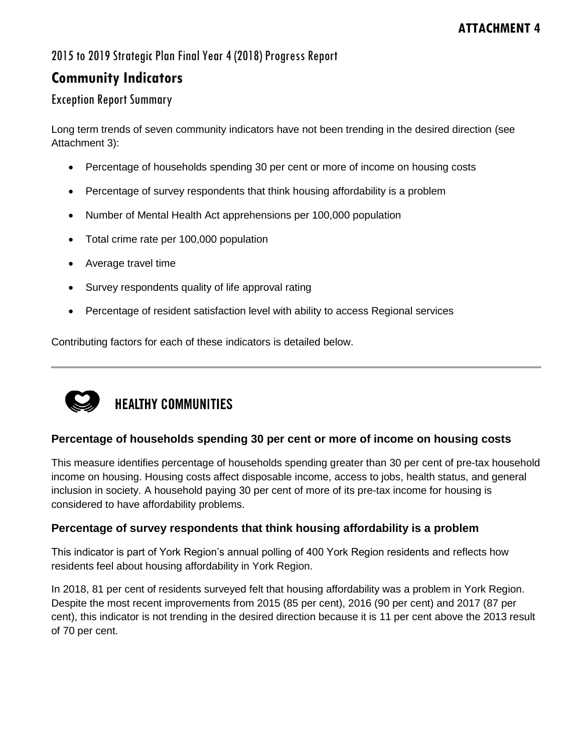## 2015 to 2019 Strategic Plan Final Year 4 (2018) Progress Report

## **Community Indicators**

## Exception Report Summary

Long term trends of seven community indicators have not been trending in the desired direction (see Attachment 3):

- Percentage of households spending 30 per cent or more of income on housing costs
- Percentage of survey respondents that think housing affordability is a problem
- Number of Mental Health Act apprehensions per 100,000 population
- Total crime rate per 100,000 population
- Average travel time
- Survey respondents quality of life approval rating
- Percentage of resident satisfaction level with ability to access Regional services

Contributing factors for each of these indicators is detailed below.



# **HEALTHY COMMUNITIES**

### **Percentage of households spending 30 per cent or more of income on housing costs**

This measure identifies percentage of households spending greater than 30 per cent of pre-tax household income on housing. Housing costs affect disposable income, access to jobs, health status, and general inclusion in society. A household paying 30 per cent of more of its pre-tax income for housing is considered to have affordability problems.

### **Percentage of survey respondents that think housing affordability is a problem**

This indicator is part of York Region's annual polling of 400 York Region residents and reflects how residents feel about housing affordability in York Region.

In 2018, 81 per cent of residents surveyed felt that housing affordability was a problem in York Region. Despite the most recent improvements from 2015 (85 per cent), 2016 (90 per cent) and 2017 (87 per cent), this indicator is not trending in the desired direction because it is 11 per cent above the 2013 result of 70 per cent.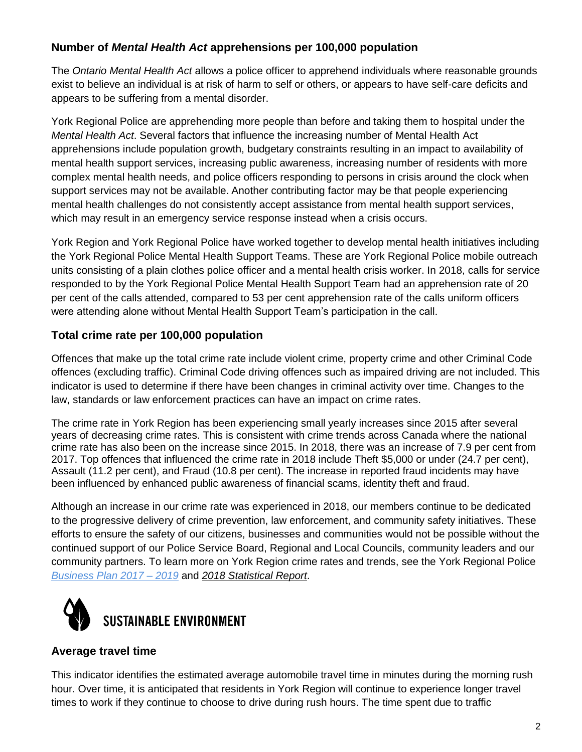## **Number of** *Mental Health Act* **apprehensions per 100,000 population**

The *Ontario Mental Health Act* allows a police officer to apprehend individuals where reasonable grounds exist to believe an individual is at risk of harm to self or others, or appears to have self-care deficits and appears to be suffering from a mental disorder.

York Regional Police are apprehending more people than before and taking them to hospital under the *Mental Health Act*. Several factors that influence the increasing number of Mental Health Act apprehensions include population growth, budgetary constraints resulting in an impact to availability of mental health support services, increasing public awareness, increasing number of residents with more complex mental health needs, and police officers responding to persons in crisis around the clock when support services may not be available. Another contributing factor may be that people experiencing mental health challenges do not consistently accept assistance from mental health support services, which may result in an emergency service response instead when a crisis occurs.

York Region and York Regional Police have worked together to develop mental health initiatives including the York Regional Police Mental Health Support Teams. These are York Regional Police mobile outreach units consisting of a plain clothes police officer and a mental health crisis worker. In 2018, calls for service responded to by the York Regional Police Mental Health Support Team had an apprehension rate of 20 per cent of the calls attended, compared to 53 per cent apprehension rate of the calls uniform officers were attending alone without Mental Health Support Team's participation in the call.

## **Total crime rate per 100,000 population**

Offences that make up the total crime rate include violent crime, property crime and other Criminal Code offences (excluding traffic). Criminal Code driving offences such as impaired driving are not included. This indicator is used to determine if there have been changes in criminal activity over time. Changes to the law, standards or law enforcement practices can have an impact on crime rates.

The crime rate in York Region has been experiencing small yearly increases since 2015 after several years of decreasing crime rates. This is consistent with crime trends across Canada where the national crime rate has also been on the increase since 2015. In 2018, there was an increase of 7.9 per cent from 2017. Top offences that influenced the crime rate in 2018 include Theft \$5,000 or under (24.7 per cent), Assault (11.2 per cent), and Fraud (10.8 per cent). The increase in reported fraud incidents may have been influenced by enhanced public awareness of financial scams, identity theft and fraud.

Although an increase in our crime rate was experienced in 2018, our members continue to be dedicated to the progressive delivery of crime prevention, law enforcement, and community safety initiatives. These efforts to ensure the safety of our citizens, businesses and communities would not be possible without the continued support of our Police Service Board, Regional and Local Councils, community leaders and our community partners. To learn more on York Region crime rates and trends, see the York Regional Police *[Business Plan 2017 –](http://www.yrp.ca/en/about/resources/2017-04-21-BusinessPlanWeb.pdf) 2019* and *2018 Statistical Report*.



### **Average travel time**

This indicator identifies the estimated average automobile travel time in minutes during the morning rush hour. Over time, it is anticipated that residents in York Region will continue to experience longer travel times to work if they continue to choose to drive during rush hours. The time spent due to traffic